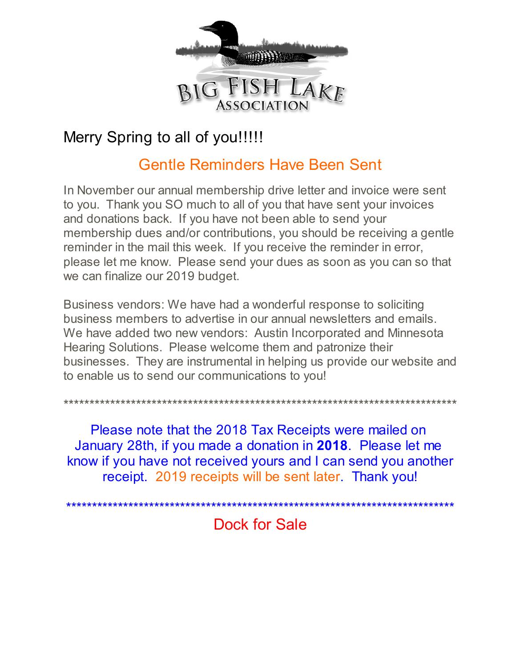

# Merry Spring to all of you!!!!!

## **Gentle Reminders Have Been Sent**

In November our annual membership drive letter and invoice were sent to you. Thank you SO much to all of you that have sent your invoices and donations back. If you have not been able to send your membership dues and/or contributions, you should be receiving a gentle reminder in the mail this week. If you receive the reminder in error, please let me know. Please send your dues as soon as you can so that we can finalize our 2019 budget.

Business vendors: We have had a wonderful response to soliciting business members to advertise in our annual newsletters and emails. We have added two new vendors: Austin Incorporated and Minnesota Hearing Solutions. Please welcome them and patronize their businesses. They are instrumental in helping us provide our website and to enable us to send our communications to you!

Please note that the 2018 Tax Receipts were mailed on January 28th, if you made a donation in 2018. Please let me know if you have not received yours and I can send you another receipt. 2019 receipts will be sent later. Thank you!

Dock for Sale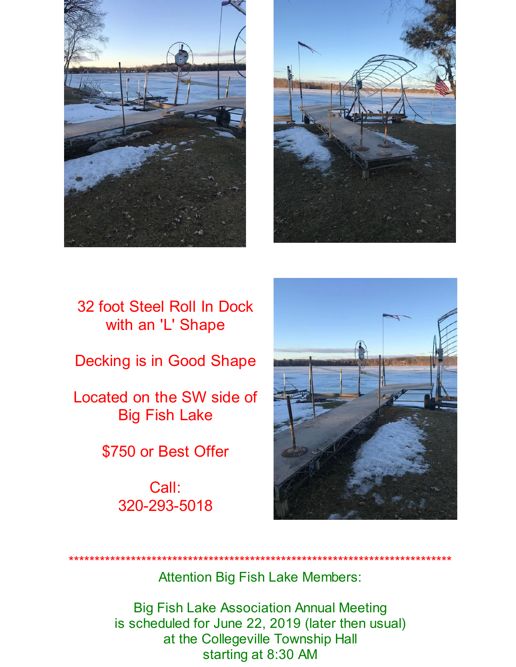



## 32 foot Steel Roll In Dock with an 'L' Shape

**Decking is in Good Shape** 

Located on the SW side of **Big Fish Lake** 

\$750 or Best Offer

Call: 320-293-5018



**Attention Big Fish Lake Members:** 

**Big Fish Lake Association Annual Meeting** is scheduled for June 22, 2019 (later then usual) at the Collegeville Township Hall starting at 8:30 AM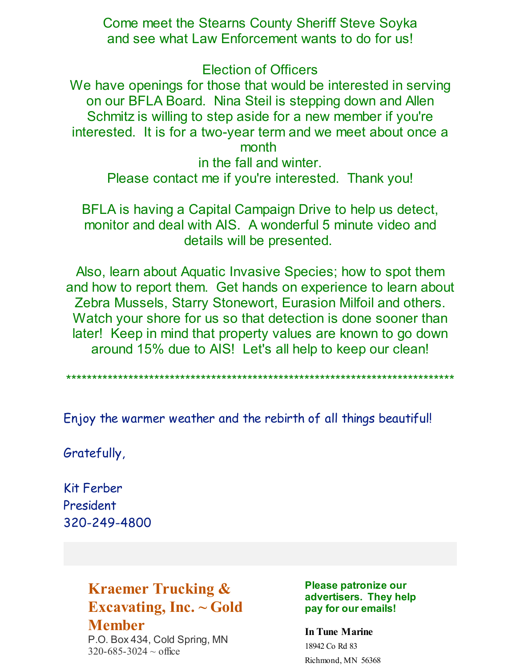Come meet the Stearns County Sheriff Steve Soyka and see what Law Enforcement wants to do for us!

Election of Officers

We have openings for those that would be interested in serving on our BFLA Board. Nina Steil is stepping down and Allen Schmitz is willing to step aside for a new member if you're interested. It is for a two-year term and we meet about once a month

in the fall and winter. Please contact me if you're interested. Thank you!

BFLA is having a Capital Campaign Drive to help us detect, monitor and deal with AIS. A wonderful 5 minute video and details will be presented.

Also, learn about Aquatic Invasive Species; how to spot them and how to report them. Get hands on experience to learn about Zebra Mussels, Starry Stonewort, Eurasion Milfoil and others. Watch your shore for us so that detection is done sooner than later! Keep in mind that property values are known to go down around 15% due to AIS! Let's all help to keep our clean!

\*\*\*\*\*\*\*\*\*\*\*\*\*\*\*\*\*\*\*\*\*\*\*\*\*\*\*\*\*\*\*\*\*\*\*\*\*\*\*\*\*\*\*\*\*\*\*\*\*\*\*\*\*\*\*\*\*\*\*\*\*\*\*\*\*\*\*\*\*\*\*\*\*\*\*

Enjoy the warmer weather and the rebirth of all things beautiful!

Gratefully,

Kit Ferber President 320-249-4800

## **Kraemer Trucking & Excavating, Inc. ~ Gold Member**

P.O. Box 434, Cold Spring, MN  $320 - 685 - 3024 \sim$  office

**Please patronize our advertisers. They help pay for our emails!**

**In Tune Marine** 18942 Co Rd 83 Richmond, MN 56368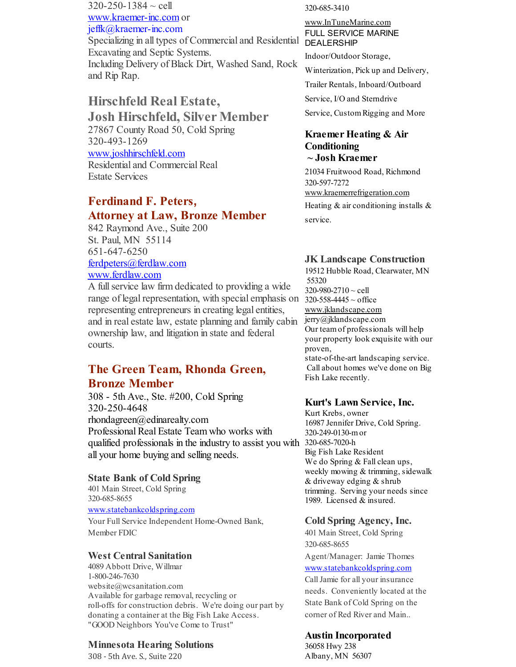$320 - 250 - 1384 \sim$  cell [www.kraemer-inc.com](http://www.kraemer-inc.com) or jeffk@kraemer-inc.com Specializing in all types of Commercial and Residential DEALERSHIP Excavating and Septic Systems. Including Delivery of Black Dirt, Washed Sand, Rock and Rip Rap.

### **Hirschfeld Real Estate, Josh Hirschfeld, Silver Member** 27867 County Road 50, Cold Spring 320-493-1269 [www.joshhirschfeld.com](http://www.joshhirschfeld.com) Residential and Commercial Real

Estate Services

## **Ferdinand F. Peters, Attorney at Law, Bronze Member**

842 Raymond Ave., Suite 200 St. Paul, MN 55114 651-647-6250 [ferdpeters@ferdlaw.com](mailto:ferdpeters@ferdlaw.com) [www.ferdlaw.com](http://www.ferdlaw.com)

A fullservice law firm dedicated to providing a wide range of legal representation, with special emphasis on  $320-558-4445 \sim$  office representing entrepreneurs in creating legal entities, and in real estate law, estate planning and family cabin ownership law, and litigation in state and federal courts.

### **The Green Team, Rhonda Green, Bronze Member**

308 - 5th Ave., Ste. #200, Cold Spring 320-250-4648 rhondagreen@edinarealty.com Professional Real Estate Team who works with qualified professionals in the industry to assist you with 320-685-7020-h all your home buying and selling needs.

#### **State Bank of Cold Spring**

401 Main Street, Cold Spring 320-685-8655

[www.statebankcoldspring.com](http://www.statebankcoldspring.com)

Your Full Service Independent Home-Owned Bank, Member FDIC

#### **West Central Sanitation**

4089 Abbott Drive, Willmar 1-800-246-7630 website@wcsanitation.com Available for garbage removal, recycling or roll-offs for construction debris. We're doing our part by donating a container at the Big Fish Lake Access. "GOOD Neighbors You've Come to Trust"

#### **Minnesota Hearing Solutions**

308 - 5th Ave. S., Suite 220

320-685-3410

## [www.InTuneMarine.com](http://www.intunemarine.com) FULL SERVICE MARINE

Indoor/Outdoor Storage,

Winterization, Pick up and Delivery,

Trailer Rentals, Inboard/Outboard

Service, I/O and Sterndrive

Service, Custom Rigging and More

#### **Kraemer Heating & Air Conditioning ~ Josh Kraemer**

21034 Fruitwood Road, Richmond 320-597-7272 [www.kraemerrefrigeration.com](http://www.kraemerrefrigeration.com) Heating  $&$  air conditioning installs  $&$ service.

#### **JK Landscape Construction**

19512 Hubble Road, Clearwater, MN 55320 320-980-2710 ~ cell [www.jklandscape.com](http://www.jklandscape.com) jerry@jklandscape.com Our teamof professionals will help your property look exquisite with our proven, state-of-the-art landscaping service. Call about homes we've done on Big Fish Lake recently.

#### **Kurt's Lawn Service, Inc.**

Kurt Krebs, owner 16987 Jennifer Drive, Cold Spring. 320-249-0130-mor Big Fish Lake Resident We do Spring & Fall clean ups, weekly mowing & trimming, sidewalk & driveway edging & shrub trimming. Serving your needs since 1989. Licensed & insured.

#### **Cold Spring Agency, Inc.**

401 Main Street, Cold Spring 320-685-8655 Agent/Manager: Jamie Thomes [www.statebankcoldspring.com](http://www.statebankcoldspring.com) CallJamie for all your insurance needs. Conveniently located at the State Bank of Cold Spring on the

### **Austin Incorporated**

corner of Red River and Main..

36058 Hwy 238 Albany, MN 56307